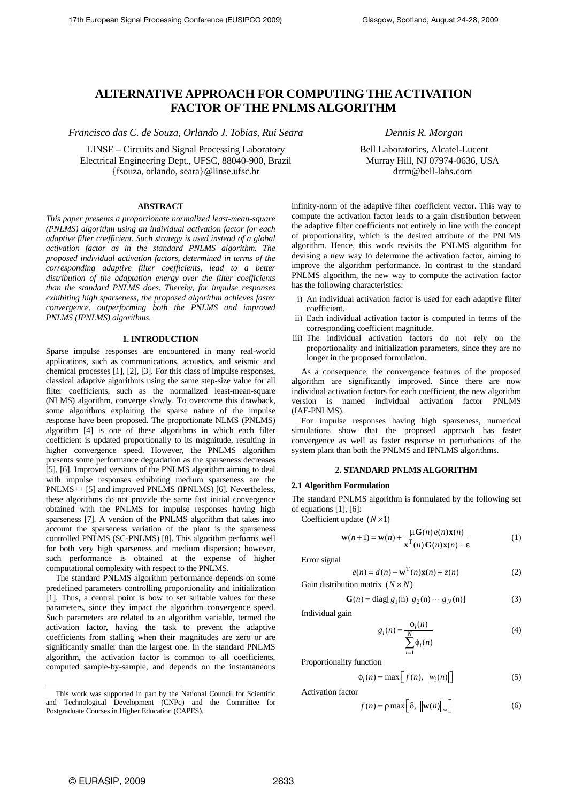# **ALTERNATIVE APPROACH FOR COMPUTING THE ACTIVATION FACTOR OF THE PNLMS ALGORITHM**

*Francisco das C. de Souza, Orlando J. Tobias, Rui Seara*

LINSE – Circuits and Signal Processing Laboratory Electrical Engineering Dept., UFSC, 88040-900, Brazil {fsouza, orlando, seara}@linse.ufsc.br

### **ABSTRACT**

*This paper presents a proportionate normalized least-mean-square (PNLMS) algorithm using an individual activation factor for each adaptive filter coefficient. Such strategy is used instead of a global activation factor as in the standard PNLMS algorithm. The proposed individual activation factors, determined in terms of the corresponding adaptive filter coefficients, lead to a better distribution of the adaptation energy over the filter coefficients than the standard PNLMS does. Thereby, for impulse responses exhibiting high sparseness, the proposed algorithm achieves faster convergence, outperforming both the PNLMS and improved PNLMS (IPNLMS) algorithms.* 

## **1. INTRODUCTION**

Sparse impulse responses are encountered in many real-world applications, such as communications, acoustics, and seismic and chemical processes [1], [2], [3]. For this class of impulse responses, classical adaptive algorithms using the same step-size value for all filter coefficients, such as the normalized least-mean-square (NLMS) algorithm, converge slowly. To overcome this drawback, some algorithms exploiting the sparse nature of the impulse response have been proposed. The proportionate NLMS (PNLMS) algorithm [4] is one of these algorithms in which each filter coefficient is updated proportionally to its magnitude, resulting in higher convergence speed. However, the PNLMS algorithm presents some performance degradation as the sparseness decreases [5], [6]. Improved versions of the PNLMS algorithm aiming to deal with impulse responses exhibiting medium sparseness are the PNLMS<sub>++</sub> [5] and improved PNLMS (IPNLMS) [6]. Nevertheless, these algorithms do not provide the same fast initial convergence obtained with the PNLMS for impulse responses having high sparseness [7]. A version of the PNLMS algorithm that takes into account the sparseness variation of the plant is the sparseness controlled PNLMS (SC-PNLMS) [8]. This algorithm performs well for both very high sparseness and medium dispersion; however, such performance is obtained at the expense of higher computational complexity with respect to the PNLMS.

The standard PNLMS algorithm performance depends on some predefined parameters controlling proportionality and initialization [1]. Thus, a central point is how to set suitable values for these parameters, since they impact the algorithm convergence speed. Such parameters are related to an algorithm variable, termed the activation factor, having the task to prevent the adaptive coefficients from stalling when their magnitudes are zero or are significantly smaller than the largest one. In the standard PNLMS algorithm, the activation factor is common to all coefficients, computed sample-by-sample, and depends on the instantaneous infinity-norm of the adaptive filter coefficient vector. This way to compute the activation factor leads to a gain distribution between the adaptive filter coefficients not entirely in line with the concept of proportionality, which is the desired attribute of the PNLMS algorithm. Hence, this work revisits the PNLMS algorithm for devising a new way to determine the activation factor, aiming to improve the algorithm performance. In contrast to the standard PNLMS algorithm, the new way to compute the activation factor has the following characteristics:

- i) An individual activation factor is used for each adaptive filter coefficient.
- ii) Each individual activation factor is computed in terms of the corresponding coefficient magnitude.
- iii) The individual activation factors do not rely on the proportionality and initialization parameters, since they are no longer in the proposed formulation.

As a consequence, the convergence features of the proposed algorithm are significantly improved. Since there are now individual activation factors for each coefficient, the new algorithm version is named individual activation factor PNLMS (IAF-PNLMS).

For impulse responses having high sparseness, numerical simulations show that the proposed approach has faster convergence as well as faster response to perturbations of the system plant than both the PNLMS and IPNLMS algorithms.

#### **2. STANDARD PNLMS ALGORITHM**

#### **2.1 Algorithm Formulation**

The standard PNLMS algorithm is formulated by the following set of equations [1], [6]:

Coefficient update  $(N \times 1)$ 

$$
\mathbf{w}(n+1) = \mathbf{w}(n) + \frac{\mu \mathbf{G}(n) e(n) \mathbf{x}(n)}{\mathbf{x}^{\mathrm{T}}(n) \mathbf{G}(n) \mathbf{x}(n) + \varepsilon}
$$
(1)

Error signal

$$
e(n) = d(n) - \mathbf{w}^{T}(n)\mathbf{x}(n) + z(n)
$$
 (2)

Gain distribution matrix  $(N \times N)$ 

$$
\mathbf{G}(n) = \text{diag}[g_1(n) \ g_2(n) \cdots g_N(n)] \tag{3}
$$

Individual gain

$$
g_i(n) = \frac{\phi_i(n)}{\sum_{i=1}^N \phi_i(n)}\tag{4}
$$

Proportionality function

$$
\phi_i(n) = \max[f(n), |w_i(n)|]
$$
 (5)

Activation factor

$$
f(n) = \rho \max\left[\delta, \|\mathbf{w}(n)\|_{\infty}\right]
$$
 (6)

*Dennis R. Morgan*

Bell Laboratories, Alcatel-Lucent Murray Hill, NJ 07974-0636, USA drrm@bell-labs.com

This work was supported in part by the National Council for Scientific and Technological Development (CNPq) and the Committee for Postgraduate Courses in Higher Education (CAPES).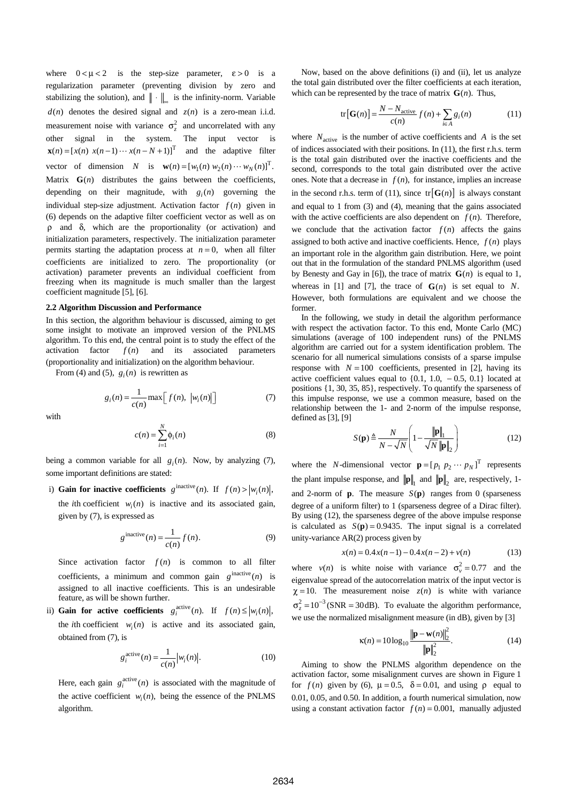where  $0 < \mu < 2$  is the step-size parameter,  $\varepsilon > 0$  is a regularization parameter (preventing division by zero and stabilizing the solution), and  $\|\cdot\|$  is the infinity-norm. Variable  $d(n)$  denotes the desired signal and  $z(n)$  is a zero-mean i.i.d. measurement noise with variance  $\sigma_z^2$  and uncorrelated with any other signal in the system. The input vector is  $\mathbf{x}(n) = [x(n) \ x(n-1) \cdots x(n-N+1)]^{\mathrm{T}}$  and the adaptive filter vector of dimension *N* is  $\mathbf{w}(n) = [w_1(n) w_2(n) \cdots w_N(n)]^T$ . Matrix  $G(n)$  distributes the gains between the coefficients, depending on their magnitude, with  $g_i(n)$  governing the individual step-size adjustment. Activation factor  $f(n)$  given in (6) depends on the adaptive filter coefficient vector as well as on ρ and δ, which are the proportionality (or activation) and initialization parameters, respectively. The initialization parameter permits starting the adaptation process at  $n = 0$ , when all filter coefficients are initialized to zero. The proportionality (or activation) parameter prevents an individual coefficient from freezing when its magnitude is much smaller than the largest coefficient magnitude [5], [6].

## **2.2 Algorithm Discussion and Performance**

In this section, the algorithm behaviour is discussed, aiming to get some insight to motivate an improved version of the PNLMS algorithm. To this end, the central point is to study the effect of the activation factor  $f(n)$  and its associated parameters (proportionality and initialization) on the algorithm behaviour.

From (4) and (5),  $g_i(n)$  is rewritten as

$$
g_i(n) = \frac{1}{c(n)} \max[f(n), |w_i(n)|]
$$
 (7)

with

$$
c(n) = \sum_{i=1}^{N} \phi_i(n)
$$
 (8)

being a common variable for all  $g_i(n)$ . Now, by analyzing (7), some important definitions are stated:

i) **Gain for inactive coefficients**  $g^{\text{inactive}}(n)$ . If  $f(n) > |w_i(n)|$ , the *i*th coefficient  $w_i(n)$  is inactive and its associated gain, given by (7), is expressed as

$$
g^{\text{inactive}}(n) = \frac{1}{c(n)} f(n). \tag{9}
$$

Since activation factor  $f(n)$  is common to all filter coefficients, a minimum and common gain  $g^{\text{inactive}}(n)$  is assigned to all inactive coefficients. This is an undesirable feature, as will be shown further.

ii) **Gain for active coefficients**  $g_i^{\text{active}}(n)$ . If  $f(n) \le |w_i(n)|$ , the *i*th coefficient  $w_i(n)$  is active and its associated gain, obtained from (7), is

$$
g_i^{\text{active}}(n) = \frac{1}{c(n)} |w_i(n)|. \tag{10}
$$

Here, each gain  $g_i^{\text{active}}(n)$  is associated with the magnitude of the active coefficient  $w_i(n)$ , being the essence of the PNLMS algorithm.

Now, based on the above definitions (i) and (ii), let us analyze the total gain distributed over the filter coefficients at each iteration, which can be represented by the trace of matrix  $\mathbf{G}(n)$ . Thus,

$$
\text{tr}\big[\mathbf{G}(n)\big] = \frac{N - N_{\text{active}}}{c(n)} f(n) + \sum_{i \in A} g_i(n) \tag{11}
$$

where  $N_{\text{active}}$  is the number of active coefficients and  $A$  is the set of indices associated with their positions. In (11), the first r.h.s. term is the total gain distributed over the inactive coefficients and the second, corresponds to the total gain distributed over the active ones. Note that a decrease in  $f(n)$ , for instance, implies an increase in the second r.h.s. term of (11), since  $tr[G(n)]$  is always constant and equal to 1 from (3) and (4), meaning that the gains associated with the active coefficients are also dependent on  $f(n)$ . Therefore, we conclude that the activation factor  $f(n)$  affects the gains assigned to both active and inactive coefficients. Hence,  $f(n)$  plays an important role in the algorithm gain distribution. Here, we point out that in the formulation of the standard PNLMS algorithm (used by Benesty and Gay in [6]), the trace of matrix  $\mathbf{G}(n)$  is equal to 1, whereas in [1] and [7], the trace of  $G(n)$  is set equal to N. However, both formulations are equivalent and we choose the former.

In the following, we study in detail the algorithm performance with respect the activation factor. To this end, Monte Carlo (MC) simulations (average of 100 independent runs) of the PNLMS algorithm are carried out for a system identification problem. The scenario for all numerical simulations consists of a sparse impulse response with  $N = 100$  coefficients, presented in [2], having its active coefficient values equal to  $\{0.1, 1.0, -0.5, 0.1\}$  located at positions {1, 30, 35, 85}, respectively. To quantify the sparseness of this impulse response, we use a common measure, based on the relationship between the 1- and 2-norm of the impulse response, defined as  $[3]$ ,  $[9]$ 

$$
S(\mathbf{p}) \triangleq \frac{N}{N - \sqrt{N}} \left( 1 - \frac{\|\mathbf{p}\|_1}{\sqrt{N} \|\mathbf{p}\|_2} \right) \tag{12}
$$

where the *N*-dimensional vector  $\mathbf{p} = [p_1 \ p_2 \cdots p_N]^\text{T}$  represents the plant impulse response, and  $\|\mathbf{p}\|_1$  and  $\|\mathbf{p}\|_2$  are, respectively, 1and 2-norm of  $\bf{p}$ . The measure  $S(\bf{p})$  ranges from 0 (sparseness degree of a uniform filter) to 1 (sparseness degree of a Dirac filter). By using (12), the sparseness degree of the above impulse response is calculated as  $S(p) = 0.9435$ . The input signal is a correlated unity-variance AR(2) process given by

$$
x(n) = 0.4x(n-1) - 0.4x(n-2) + v(n)
$$
 (13)

where  $v(n)$  is white noise with variance  $\sigma_v^2 = 0.77$  and the eigenvalue spread of the autocorrelation matrix of the input vector is  $\gamma = 10$ . The measurement noise  $z(n)$  is white with variance  $\sigma_{\tau}^2 = 10^{-3}$  (SNR = 30dB). To evaluate the algorithm performance, we use the normalized misalignment measure (in dB), given by [3]

$$
\kappa(n) = 10 \log_{10} \frac{\|\mathbf{p} - \mathbf{w}(n)\|_2^2}{\|\mathbf{p}\|_2^2}.
$$
 (14)

Aiming to show the PNLMS algorithm dependence on the activation factor, some misalignment curves are shown in Figure 1 for  $f(n)$  given by (6),  $\mu = 0.5$ ,  $\delta = 0.01$ , and using  $\rho$  equal to 0.01, 0.05, and 0.50. In addition, a fourth numerical simulation, now using a constant activation factor  $f(n) = 0.001$ , manually adjusted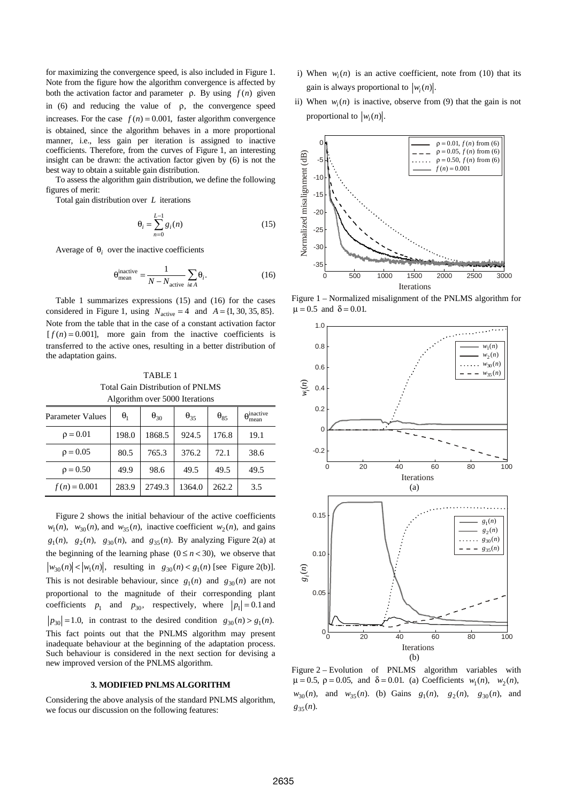for maximizing the convergence speed, is also included in Figure 1. Note from the figure how the algorithm convergence is affected by both the activation factor and parameter  $\rho$ . By using  $f(n)$  given in (6) and reducing the value of  $\rho$ , the convergence speed increases. For the case  $f(n) = 0.001$ , faster algorithm convergence is obtained, since the algorithm behaves in a more proportional manner, i.e., less gain per iteration is assigned to inactive coefficients. Therefore, from the curves of Figure 1, an interesting insight can be drawn: the activation factor given by (6) is not the best way to obtain a suitable gain distribution.

To assess the algorithm gain distribution, we define the following figures of merit:

Total gain distribution over *L* iterations

$$
\theta_i = \sum_{n=0}^{L-1} g_i(n) \tag{15}
$$

Average of  $\theta_i$  over the inactive coefficients

$$
\theta_{\text{mean}}^{\text{inactive}} = \frac{1}{N - N_{\text{active}}} \sum_{i \in A} \theta_i.
$$
 (16)

Table 1 summarizes expressions (15) and (16) for the cases considered in Figure 1, using  $N_{\text{active}} = 4$  and  $A = \{1, 30, 35, 85\}.$ Note from the table that in the case of a constant activation factor  $[f(n) = 0.001]$ , more gain from the inactive coefficients is transferred to the active ones, resulting in a better distribution of the adaptation gains.

TABLE 1 Total Gain Distribution of PNLMS Algorithm over 5000 Iterations

| <b>Parameter Values</b> | $\theta_{1}$ | $\theta_{30}$ | $\theta_{35}$ | $\theta_{85}$ | $\theta$ <sup>inactive</sup><br>mean |
|-------------------------|--------------|---------------|---------------|---------------|--------------------------------------|
| $\rho = 0.01$           | 198.0        | 1868.5        | 924.5         | 176.8         | 19.1                                 |
| $\rho = 0.05$           | 80.5         | 765.3         | 376.2         | 72.1          | 38.6                                 |
| $\rho = 0.50$           | 49.9         | 98.6          | 49.5          | 49.5          | 49.5                                 |
| $f(n) = 0.001$          | 283.9        | 2749.3        | 1364.0        | 262.2         | 3.5                                  |

Figure 2 shows the initial behaviour of the active coefficients  $w_1(n)$ ,  $w_{30}(n)$ , and  $w_{35}(n)$ , inactive coefficient  $w_2(n)$ , and gains  $g_1(n)$ ,  $g_2(n)$ ,  $g_{30}(n)$ , and  $g_{35}(n)$ . By analyzing Figure 2(a) at the beginning of the learning phase  $(0 \le n < 30)$ , we observe that  $|w_{30}(n)| < |w_1(n)|$ , resulting in  $g_{30}(n) < g_1(n)$  [see Figure 2(b)]. This is not desirable behaviour, since  $g_1(n)$  and  $g_{30}(n)$  are not proportional to the magnitude of their corresponding plant coefficients  $p_1$  and  $p_{30}$ , respectively, where  $|p_1| = 0.1$  and  $|p_{30}| = 1.0$ , in contrast to the desired condition  $g_{30}(n) > g_1(n)$ . This fact points out that the PNLMS algorithm may present inadequate behaviour at the beginning of the adaptation process. Such behaviour is considered in the next section for devising a new improved version of the PNLMS algorithm.

#### **3. MODIFIED PNLMS ALGORITHM**

Considering the above analysis of the standard PNLMS algorithm, we focus our discussion on the following features:

- i) When  $w_i(n)$  is an active coefficient, note from (10) that its gain is always proportional to  $|w_i(n)|$ .
- ii) When  $w_i(n)$  is inactive, observe from (9) that the gain is not proportional to  $|w_i(n)|$ .



Figure 1 – Normalized misalignment of the PNLMS algorithm for  $\mu = 0.5$  and  $\delta = 0.01$ .



Figure 2 – Evolution of PNLMS algorithm variables with  $\mu = 0.5$ ,  $\rho = 0.05$ , and  $\delta = 0.01$ . (a) Coefficients  $w_1(n)$ ,  $w_2(n)$ ,  $w_{30}(n)$ , and  $w_{35}(n)$ . (b) Gains  $g_1(n)$ ,  $g_2(n)$ ,  $g_{30}(n)$ , and  $g_{35}(n)$ .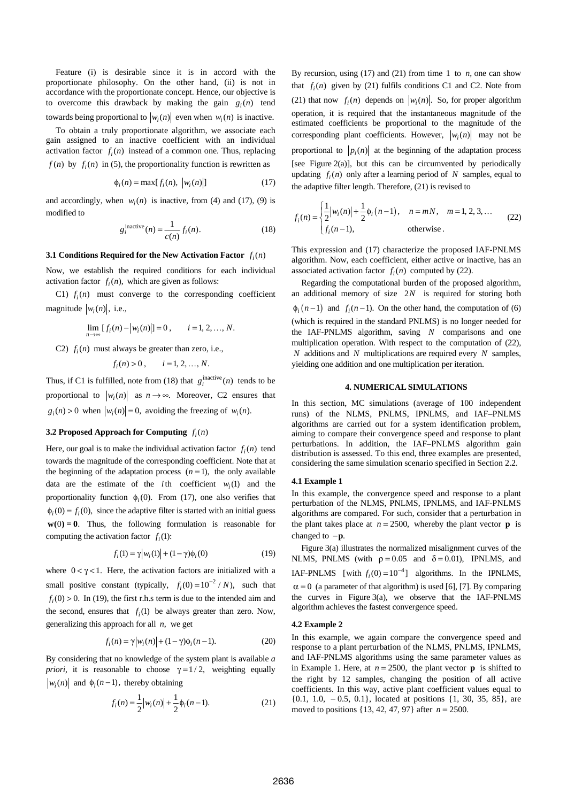Feature (i) is desirable since it is in accord with the proportionate philosophy. On the other hand, (ii) is not in accordance with the proportionate concept. Hence, our objective is to overcome this drawback by making the gain  $g_i(n)$  tend towards being proportional to  $|w_i(n)|$  even when  $w_i(n)$  is inactive.

To obtain a truly proportionate algorithm, we associate each gain assigned to an inactive coefficient with an individual activation factor  $f_i(n)$  instead of a common one. Thus, replacing  $f(n)$  by  $f_i(n)$  in (5), the proportionality function is rewritten as

$$
\phi_i(n) = \max[f_i(n), |w_i(n)|] \tag{17}
$$

and accordingly, when  $w_i(n)$  is inactive, from (4) and (17), (9) is modified to

$$
g_i^{\text{inactive}}(n) = \frac{1}{c(n)} f_i(n). \tag{18}
$$

## **3.1 Conditions Required for the New Activation Factor**  $f_i(n)$

Now, we establish the required conditions for each individual activation factor  $f_i(n)$ , which are given as follows:

C1)  $f_i(n)$  must converge to the corresponding coefficient magnitude  $|w_i(n)|$ , i.e.,

$$
\lim_{n \to \infty} [f_i(n) - |w_i(n)|] = 0, \qquad i = 1, 2, ..., N.
$$

C2)  $f_i(n)$  must always be greater than zero, i.e.,

$$
f_i(n) > 0
$$
,  $i = 1, 2, ..., N$ .

Thus, if C1 is fulfilled, note from (18) that  $g_i^{\text{inactive}}(n)$  tends to be proportional to  $|w_i(n)|$  as  $n \to \infty$ . Moreover, C2 ensures that  $g_i(n) > 0$  when  $|w_i(n)| = 0$ , avoiding the freezing of  $w_i(n)$ .

## **3.2 Proposed Approach for Computing**  $f_i(n)$

Here, our goal is to make the individual activation factor  $f_i(n)$  tend towards the magnitude of the corresponding coefficient. Note that at the beginning of the adaptation process  $(n = 1)$ , the only available data are the estimate of the *i*th coefficient  $w_i(1)$  and the proportionality function  $\phi_1(0)$ . From (17), one also verifies that  $\phi_i(0) = f_i(0)$ , since the adaptive filter is started with an initial guess  $w(0) = 0$ . Thus, the following formulation is reasonable for computing the activation factor  $f_i(1)$ :

$$
f_i(1) = \gamma |w_i(1)| + (1 - \gamma)\phi_i(0)
$$
 (19)

where  $0 < \gamma < 1$ . Here, the activation factors are initialized with a small positive constant (typically,  $f_i(0) = 10^{-2} / N$ ), such that  $f_i(0) > 0$ . In (19), the first r.h.s term is due to the intended aim and the second, ensures that  $f_i(1)$  be always greater than zero. Now, generalizing this approach for all *n*, we get

$$
f_i(n) = \gamma \left| w_i(n) \right| + (1 - \gamma) \phi_i(n - 1).
$$
 (20)

By considering that no knowledge of the system plant is available *a priori*, it is reasonable to choose  $\gamma = 1/2$ , weighting equally  $|w_i(n)|$  and  $\phi_i(n-1)$ , thereby obtaining

$$
f_i(n) = \frac{1}{2} |w_i(n)| + \frac{1}{2} \phi_i(n-1).
$$
 (21)

By recursion, using  $(17)$  and  $(21)$  from time 1 to *n*, one can show that  $f_i(n)$  given by (21) fulfils conditions C1 and C2. Note from (21) that now  $f_i(n)$  depends on  $|w_i(n)|$ . So, for proper algorithm operation, it is required that the instantaneous magnitude of the estimated coefficients be proportional to the magnitude of the corresponding plant coefficients. However,  $|w_i(n)|$  may not be proportional to  $|p_i(n)|$  at the beginning of the adaptation process [see Figure  $2(a)$ ], but this can be circumvented by periodically updating  $f_i(n)$  only after a learning period of N samples, equal to the adaptive filter length. Therefore, (21) is revised to

$$
f_i(n) = \begin{cases} \frac{1}{2} |w_i(n)| + \frac{1}{2} \phi_i(n-1), & n = mN, m = 1, 2, 3, ... \\ f_i(n-1), & \text{otherwise.} \end{cases}
$$
 (22)

This expression and (17) characterize the proposed IAF-PNLMS algorithm. Now, each coefficient, either active or inactive, has an associated activation factor  $f_i(n)$  computed by (22).

Regarding the computational burden of the proposed algorithm, an additional memory of size 2*N* is required for storing both  $\phi_i(n-1)$  and  $f_i(n-1)$ . On the other hand, the computation of (6) (which is required in the standard PNLMS) is no longer needed for the IAF-PNLMS algorithm, saving *N* comparisons and one multiplication operation. With respect to the computation of (22), *N* additions and *N* multiplications are required every *N* samples, yielding one addition and one multiplication per iteration.

#### **4. NUMERICAL SIMULATIONS**

In this section, MC simulations (average of 100 independent runs) of the NLMS, PNLMS, IPNLMS, and IAF–PNLMS algorithms are carried out for a system identification problem, aiming to compare their convergence speed and response to plant perturbations. In addition, the IAF–PNLMS algorithm gain distribution is assessed. To this end, three examples are presented, considering the same simulation scenario specified in Section 2.2.

#### **4.1 Example 1**

In this example, the convergence speed and response to a plant perturbation of the NLMS, PNLMS, IPNLMS, and IAF-PNLMS algorithms are compared. For such, consider that a perturbation in the plant takes place at  $n = 2500$ , whereby the plant vector **p** is changed to  $-\mathbf{p}$ .

Figure 3(a) illustrates the normalized misalignment curves of the NLMS, PNLMS (with  $\rho = 0.05$  and  $\delta = 0.01$ ), IPNLMS, and IAF-PNLMS [with  $f_i(0) = 10^{-4}$ ] algorithms. In the IPNLMS,  $\alpha = 0$  (a parameter of that algorithm) is used [6], [7]. By comparing the curves in Figure  $3(a)$ , we observe that the IAF-PNLMS algorithm achieves the fastest convergence speed.

#### **4.2 Example 2**

In this example, we again compare the convergence speed and response to a plant perturbation of the NLMS, PNLMS, IPNLMS, and IAF-PNLMS algorithms using the same parameter values as in Example 1. Here, at  $n = 2500$ , the plant vector **p** is shifted to the right by 12 samples, changing the position of all active coefficients. In this way, active plant coefficient values equal to {0.1, 1.0, − 0.5, 0.1}, located at positions {1, 30, 35, 85}, are moved to positions  $\{13, 42, 47, 97\}$  after  $n = 2500$ .